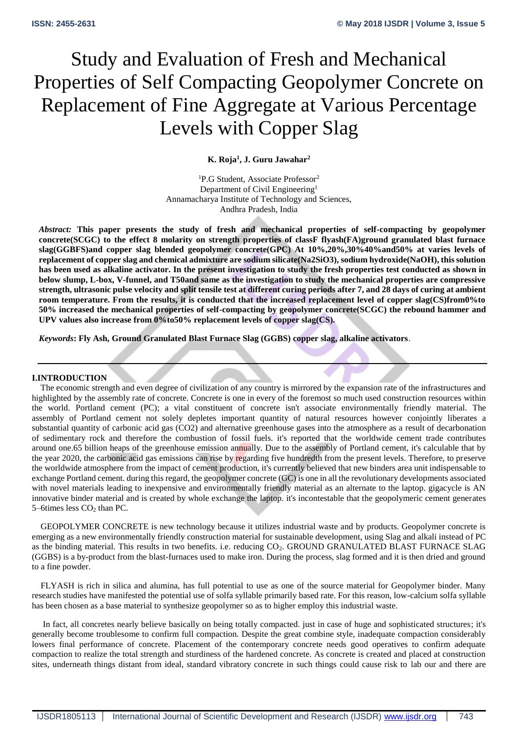# Study and Evaluation of Fresh and Mechanical Properties of Self Compacting Geopolymer Concrete on Replacement of Fine Aggregate at Various Percentage Levels with Copper Slag

## **K. Roja<sup>1</sup> , J. Guru Jawahar<sup>2</sup>**

<sup>1</sup>P.G Student, Associate Professor<sup>2</sup> Department of Civil Engineering<sup>1</sup> Annamacharya Institute of Technology and Sciences, Andhra Pradesh, India

*Abstract:* **This paper presents the study of fresh and mechanical properties of self-compacting by geopolymer concrete(SCGC) to the effect 8 molarity on strength properties of classF flyash(FA)ground granulated blast furnace slag(GGBFS)and copper slag blended geopolymer concrete(GPC) At 10%,20%,30%40%and50% at varies levels of replacement of copper slag and chemical admixture are sodium silicate(Na2SiO3), sodium hydroxide(NaOH), this solution has been used as alkaline activator. In the present investigation to study the fresh properties test conducted as shown in below slump, L-box, V-funnel, and T50and same as the investigation to study the mechanical properties are compressive strength, ultrasonic pulse velocity and split tensile test at different curing periods after 7, and 28 days of curing at ambient room temperature. From the results, it is conducted that the increased replacement level of copper slag(CS)from0%to 50% increased the mechanical properties of self-compacting by geopolymer concrete(SCGC) the rebound hammer and UPV values also increase from 0%to50% replacement levels of copper slag(CS).** 

*Keywords***: Fly Ash, Ground Granulated Blast Furnace Slag (GGBS) copper slag, alkaline activators**.

#### **I.INTRODUCTION**

The economic strength and even degree of civilization of any country is mirrored by the expansion rate of the infrastructures and highlighted by the assembly rate of concrete. Concrete is one in every of the foremost so much used construction resources within the world. Portland cement (PC); a vital constituent of concrete isn't associate environmentally friendly material. The assembly of Portland cement not solely depletes important quantity of natural resources however conjointly liberates a substantial quantity of carbonic acid gas (CO2) and alternative greenhouse gases into the atmosphere as a result of decarbonation of sedimentary rock and therefore the combustion of fossil fuels. it's reported that the worldwide cement trade contributes around one.65 billion heaps of the greenhouse emission annually. Due to the assembly of Portland cement, it's calculable that by the year 2020, the carbonic acid gas emissions can rise by regarding five hundredth from the present levels. Therefore, to preserve the worldwide atmosphere from the impact of cement production, it's currently believed that new binders area unit indispensable to exchange Portland cement. during this regard, the geopolymer concrete (GC) is one in all the revolutionary developments associated with novel materials leading to inexpensive and environmentally friendly material as an alternate to the laptop. gigacycle is AN innovative binder material and is created by whole exchange the laptop. it's incontestable that the geopolymeric cement generates 5–6times less CO<sub>2</sub> than PC.

 GEOPOLYMER CONCRETE is new technology because it utilizes industrial waste and by products. Geopolymer concrete is emerging as a new environmentally friendly construction material for sustainable development, using Slag and alkali instead of PC as the binding material. This results in two benefits. i.e. reducing CO<sub>2</sub>. GROUND GRANULATED BLAST FURNACE SLAG (GGBS) is a by-product from the blast-furnaces used to make iron. During the process, slag formed and it is then dried and ground to a fine powder.

 FLYASH is rich in silica and alumina, has full potential to use as one of the source material for Geopolymer binder. Many research studies have manifested the potential use of solfa syllable primarily based rate. For this reason, low-calcium solfa syllable has been chosen as a base material to synthesize geopolymer so as to higher employ this industrial waste.

 In fact, all concretes nearly believe basically on being totally compacted. just in case of huge and sophisticated structures; it's generally become troublesome to confirm full compaction. Despite the great combine style, inadequate compaction considerably lowers final performance of concrete. Placement of the contemporary concrete needs good operatives to confirm adequate compaction to realize the total strength and sturdiness of the hardened concrete. As concrete is created and placed at construction sites, underneath things distant from ideal, standard vibratory concrete in such things could cause risk to lab our and there are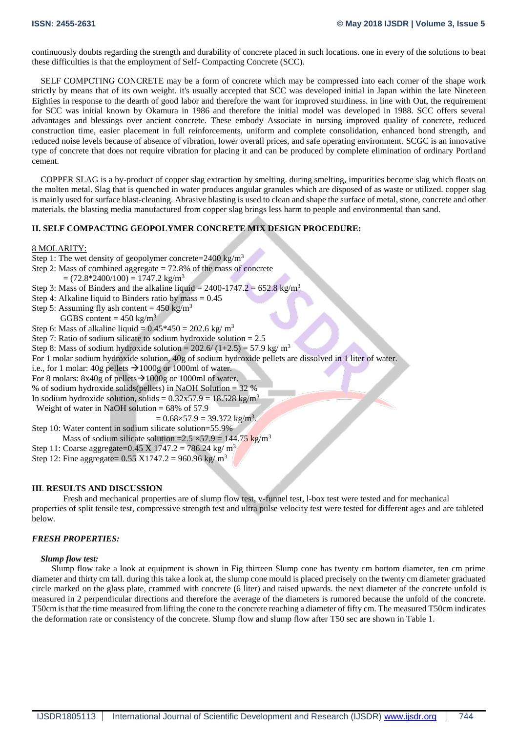continuously doubts regarding the strength and durability of concrete placed in such locations. one in every of the solutions to beat these difficulties is that the employment of Self- Compacting Concrete (SCC).

 SELF COMPCTING CONCRETE may be a form of concrete which may be compressed into each corner of the shape work strictly by means that of its own weight. it's usually accepted that SCC was developed initial in Japan within the late Nineteen Eighties in response to the dearth of good labor and therefore the want for improved sturdiness. in line with Out, the requirement for SCC was initial known by Okamura in 1986 and therefore the initial model was developed in 1988. SCC offers several advantages and blessings over ancient concrete. These embody Associate in nursing improved quality of concrete, reduced construction time, easier placement in full reinforcements, uniform and complete consolidation, enhanced bond strength, and reduced noise levels because of absence of vibration, lower overall prices, and safe operating environment. SCGC is an innovative type of concrete that does not require vibration for placing it and can be produced by complete elimination of ordinary Portland cement.

 COPPER SLAG is a by-product of copper slag extraction by smelting. during smelting, impurities become slag which floats on the molten metal. Slag that is quenched in water produces angular granules which are disposed of as waste or utilized. copper slag is mainly used for surface blast-cleaning. Abrasive blasting is used to clean and shape the surface of metal, stone, concrete and other materials. the blasting media manufactured from copper slag brings less harm to people and environmental than sand.

## **II. SELF COMPACTING GEOPOLYMER CONCRETE MIX DESIGN PROCEDURE:**

8 MOLARITY:

Step 1: The wet density of geopolymer concrete=2400 kg/m<sup>3</sup> Step 2: Mass of combined aggregate = 72.8% of the mass of concrete  $= (72.8*2400/100) = 1747.2$  kg/m<sup>3</sup> Step 3: Mass of Binders and the alkaline liquid =  $2400-1747.2 = 652.8 \text{ kg/m}^3$ Step 4: Alkaline liquid to Binders ratio by mass  $= 0.45$ Step 5: Assuming fly ash content =  $450 \text{ kg/m}^3$ GGBS content =  $450 \text{ kg/m}^3$ Step 6: Mass of alkaline liquid =  $0.45*450 = 202.6$  kg/m<sup>3</sup> Step 7: Ratio of sodium silicate to sodium hydroxide solution = 2.5 Step 8: Mass of sodium hydroxide solution =  $202.6/(1+2.5) = 57.9$  kg/m<sup>3</sup> For 1 molar sodium hydroxide solution, 40g of sodium hydroxide pellets are dissolved in 1 liter of water. i.e., for 1 molar: 40g pellets  $\rightarrow$  1000g or 1000ml of water. For 8 molars:  $8x40g$  of pellets  $\rightarrow$  1000g or 1000ml of water. % of sodium hydroxide solids(pellets) in NaOH Solution = 32 % In sodium hydroxide solution, solids =  $0.32x57.9 = 18.528 \text{ kg/m}^3$ Weight of water in NaOH solution =  $68\%$  of 57.9  $= 0.68 \times 57.9 = 39.372 \text{ kg/m}^3.$ Step 10: Water content in sodium silicate solution=55.9% Mass of sodium silicate solution =  $2.5 \times 57.9 = 144.75$  kg/m<sup>3</sup> Step 11: Coarse aggregate=0.45 X 1747.2 = 786.24 kg/ m<sup>3</sup> Step 12: Fine aggregate=  $0.55 \text{ X}1747.2 = 960.96 \text{ kg/m}^3$ 

## **III**. **RESULTS AND DISCUSSION**

Fresh and mechanical properties are of slump flow test, v-funnel test, l-box test were tested and for mechanical properties of split tensile test, compressive strength test and ultra pulse velocity test were tested for different ages and are tableted below.

# *FRESH PROPERTIES:*

#### *Slump flow test:*

 Slump flow take a look at equipment is shown in Fig thirteen Slump cone has twenty cm bottom diameter, ten cm prime diameter and thirty cm tall. during this take a look at, the slump cone mould is placed precisely on the twenty cm diameter graduated circle marked on the glass plate, crammed with concrete (6 liter) and raised upwards. the next diameter of the concrete unfold is measured in 2 perpendicular directions and therefore the average of the diameters is rumored because the unfold of the concrete. T50cm is that the time measured from lifting the cone to the concrete reaching a diameter of fifty cm. The measured T50cm indicates the deformation rate or consistency of the concrete. Slump flow and slump flow after T50 sec are shown in Table 1.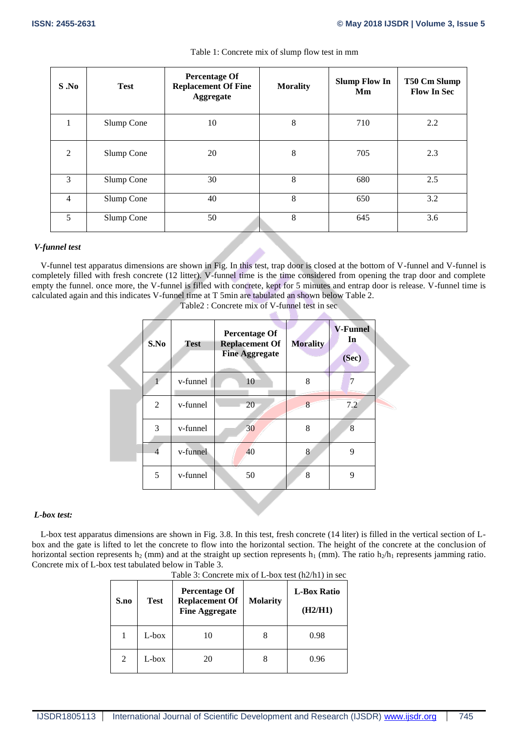| S.No           | <b>Test</b> | <b>Percentage Of</b><br><b>Replacement Of Fine</b><br>Aggregate | <b>Morality</b> | <b>Slump Flow In</b><br>Mm | T50 Cm Slump<br><b>Flow In Sec</b> |
|----------------|-------------|-----------------------------------------------------------------|-----------------|----------------------------|------------------------------------|
|                | Slump Cone  | 10                                                              | 8               | 710                        | 2.2                                |
| 2              | Slump Cone  | 20                                                              | 8               | 705                        | 2.3                                |
| 3              | Slump Cone  | 30                                                              | 8               | 680                        | 2.5                                |
| $\overline{4}$ | Slump Cone  | 40                                                              | 8               | 650                        | 3.2                                |
| 5              | Slump Cone  | 50                                                              | 8               | 645                        | 3.6                                |

# Table 1: Concrete mix of slump flow test in mm

# *V-funnel test*

 V-funnel test apparatus dimensions are shown in Fig. In this test, trap door is closed at the bottom of V-funnel and V-funnel is completely filled with fresh concrete (12 litter). V-funnel time is the time considered from opening the trap door and complete empty the funnel. once more, the V-funnel is filled with concrete, kept for 5 minutes and entrap door is release. V-funnel time is calculated again and this indicates V-funnel time at T 5min are tabulated an shown below Table 2.

| S.No           | Test     | <b>Percentage Of</b><br><b>Replacement Of</b><br><b>Fine Aggregate</b> | <b>Morality</b> | <b>V-Funnel</b><br>In<br>(Sec) |
|----------------|----------|------------------------------------------------------------------------|-----------------|--------------------------------|
|                | v-funnel | 10                                                                     | 8               | 7                              |
| $\overline{2}$ | v-funnel | 20                                                                     | 8               | 7.2                            |
| 3              | v-funnel | 30                                                                     | 8               | 8                              |
| $\overline{4}$ | v-funnel | 40                                                                     | 8               | 9                              |
| 5              | v-funnel | 50                                                                     | 8               | 9                              |

Table2 : Concrete mix of V-funnel test in sec

 $\sim$ 

# *L-box test:*

 L-box test apparatus dimensions are shown in Fig. 3.8. In this test, fresh concrete (14 liter) is filled in the vertical section of Lbox and the gate is lifted to let the concrete to flow into the horizontal section. The height of the concrete at the conclusion of horizontal section represents h<sub>2</sub> (mm) and at the straight up section represents h<sub>1</sub> (mm). The ratio h<sub>2</sub>/h<sub>1</sub> represents jamming ratio. Concrete mix of L-box test tabulated below in Table 3.

| S.no | <b>Test</b> | Percentage Of<br><b>Replacement Of</b><br><b>Fine Aggregate</b> | <b>Molarity</b> | <b>L-Box Ratio</b><br>(H2/H1) |
|------|-------------|-----------------------------------------------------------------|-----------------|-------------------------------|
|      | L-box       | 10                                                              | 8               | 0.98                          |
| 2    | $L$ -box    | 20                                                              | 8               | 0.96                          |

Table 3: Concrete mix of L-box test (h2/h1) in sec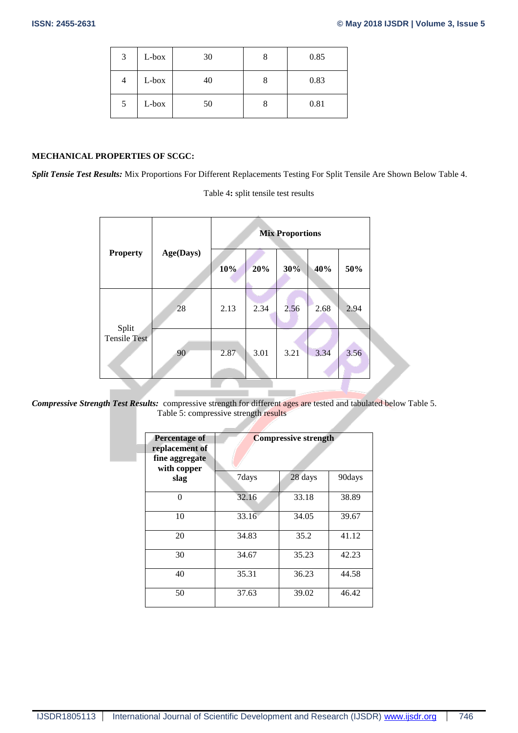| 3 | L-box | 30 | O | 0.85 |
|---|-------|----|---|------|
| 4 | L-box | 40 |   | 0.83 |
| 5 | L-box | 50 |   | 0.81 |

## **MECHANICAL PROPERTIES OF SCGC:**

*Split Tensie Test Results:* Mix Proportions For Different Replacements Testing For Split Tensile Are Shown Below Table 4.

Table 4**:** split tensile test results

|                              |           | <b>Mix Proportions</b> |      |      |      |      |
|------------------------------|-----------|------------------------|------|------|------|------|
| <b>Property</b>              | Age(Days) | 10%                    | 20%  | 30%  | 40%  | 50%  |
|                              | 28        | 2.13                   | 2.34 | 2.56 | 2.68 | 2.94 |
| Split<br><b>Tensile Test</b> | 90        | 2.87                   | 3.01 | 3.21 | 3.34 | 3.56 |

*Compressive Strength Test Results:* compressive strength for different ages are tested and tabulated below Table 5. Table 5: compressive strength results

| <b>Percentage of</b><br>replacement of<br>fine aggregate<br>with copper | <b>Compressive strength</b> |         |        |  |  |  |  |
|-------------------------------------------------------------------------|-----------------------------|---------|--------|--|--|--|--|
| slag                                                                    | 7days                       | 28 days | 90days |  |  |  |  |
| $\Omega$                                                                | 32.16                       | 33.18   | 38.89  |  |  |  |  |
| 10                                                                      | 33.16                       | 34.05   | 39.67  |  |  |  |  |
| 20                                                                      | 34.83                       | 35.2    | 41.12  |  |  |  |  |
| 30                                                                      | 34.67                       | 35.23   | 42.23  |  |  |  |  |
| 40                                                                      | 35.31                       | 36.23   | 44.58  |  |  |  |  |
| 50                                                                      | 37.63                       | 39.02   | 46.42  |  |  |  |  |